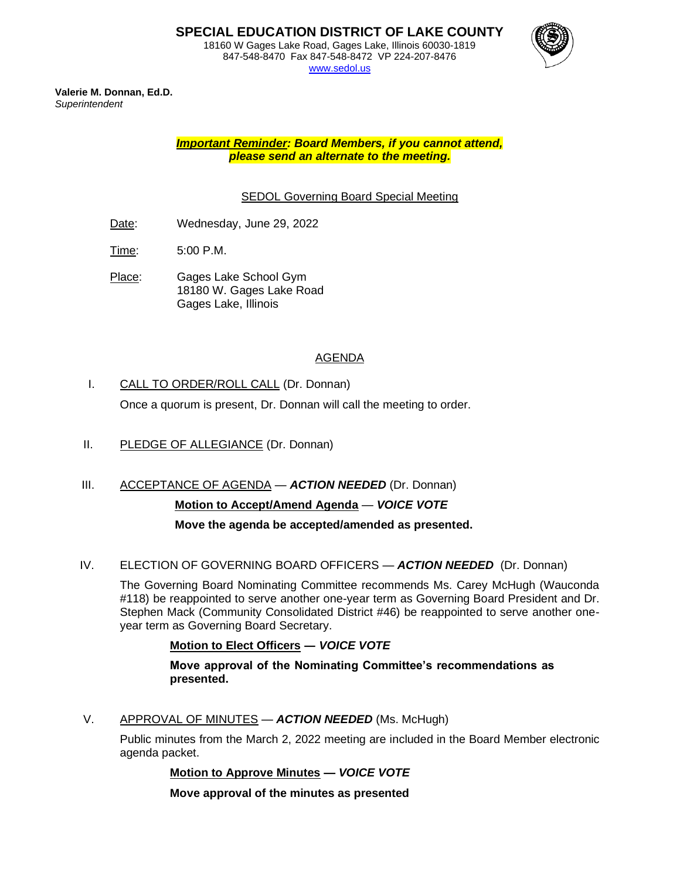847-548-8470 Fax 847-548-8472 VP 224-207-8476 [www.sedol.us](http://www.sedol.us/)



**Valerie M. Donnan, Ed.D.** *Superintendent*

> *Important Reminder: Board Members, if you cannot attend, please send an alternate to the meeting.*

### SEDOL Governing Board Special Meeting

- Date: Wednesday, June 29, 2022
- Time: 5:00 P.M.
- Place: Gages Lake School Gym 18180 W. Gages Lake Road Gages Lake, Illinois

### AGENDA

I. CALL TO ORDER/ROLL CALL (Dr. Donnan)

Once a quorum is present, Dr. Donnan will call the meeting to order.

- II. PLEDGE OF ALLEGIANCE (Dr. Donnan)
- III. ACCEPTANCE OF AGENDA *ACTION NEEDED* (Dr. Donnan) **Motion to Accept/Amend Agenda** — *VOICE VOTE*

**Move the agenda be accepted/amended as presented.**

#### IV. ELECTION OF GOVERNING BOARD OFFICERS — *ACTION NEEDED* (Dr. Donnan)

The Governing Board Nominating Committee recommends Ms. Carey McHugh (Wauconda #118) be reappointed to serve another one-year term as Governing Board President and Dr. Stephen Mack (Community Consolidated District #46) be reappointed to serve another oneyear term as Governing Board Secretary.

#### **Motion to Elect Officers ―** *VOICE VOTE*

**Move approval of the Nominating Committee's recommendations as presented.**

V. APPROVAL OF MINUTES — *ACTION NEEDED* (Ms. McHugh)

Public minutes from the March 2, 2022 meeting are included in the Board Member electronic agenda packet.

**Motion to Approve Minutes —** *VOICE VOTE*

**Move approval of the minutes as presented**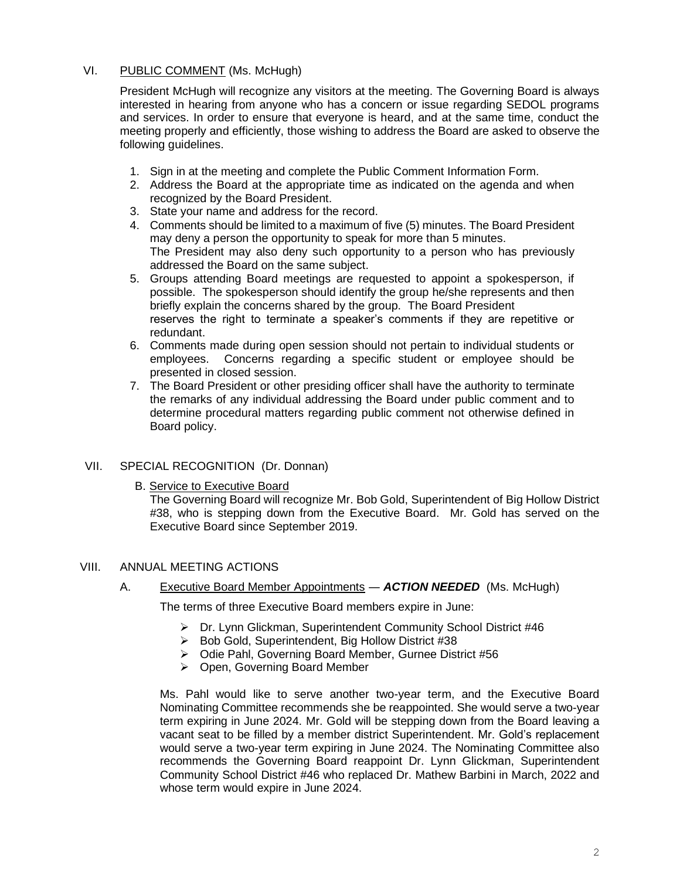#### VI. PUBLIC COMMENT (Ms. McHugh)

President McHugh will recognize any visitors at the meeting. The Governing Board is always interested in hearing from anyone who has a concern or issue regarding SEDOL programs and services. In order to ensure that everyone is heard, and at the same time, conduct the meeting properly and efficiently, those wishing to address the Board are asked to observe the following guidelines.

- 1. Sign in at the meeting and complete the Public Comment Information Form.
- 2. Address the Board at the appropriate time as indicated on the agenda and when recognized by the Board President.
- 3. State your name and address for the record.
- 4. Comments should be limited to a maximum of five (5) minutes. The Board President may deny a person the opportunity to speak for more than 5 minutes. The President may also deny such opportunity to a person who has previously addressed the Board on the same subject.
- 5. Groups attending Board meetings are requested to appoint a spokesperson, if possible. The spokesperson should identify the group he/she represents and then briefly explain the concerns shared by the group. The Board President reserves the right to terminate a speaker's comments if they are repetitive or redundant.
- 6. Comments made during open session should not pertain to individual students or employees. Concerns regarding a specific student or employee should be presented in closed session.
- 7. The Board President or other presiding officer shall have the authority to terminate the remarks of any individual addressing the Board under public comment and to determine procedural matters regarding public comment not otherwise defined in Board policy.

#### VII. SPECIAL RECOGNITION (Dr. Donnan)

B. Service to Executive Board

The Governing Board will recognize Mr. Bob Gold, Superintendent of Big Hollow District #38, who is stepping down from the Executive Board. Mr. Gold has served on the Executive Board since September 2019.

#### VIII. ANNUAL MEETING ACTIONS

#### A. Executive Board Member Appointments ― *ACTION NEEDED* (Ms. McHugh)

The terms of three Executive Board members expire in June:

- ➢ Dr. Lynn Glickman, Superintendent Community School District #46
- ➢ Bob Gold, Superintendent, Big Hollow District #38
- ➢ Odie Pahl, Governing Board Member, Gurnee District #56
- ➢ Open, Governing Board Member

Ms. Pahl would like to serve another two-year term, and the Executive Board Nominating Committee recommends she be reappointed. She would serve a two-year term expiring in June 2024. Mr. Gold will be stepping down from the Board leaving a vacant seat to be filled by a member district Superintendent. Mr. Gold's replacement would serve a two-year term expiring in June 2024. The Nominating Committee also recommends the Governing Board reappoint Dr. Lynn Glickman, Superintendent Community School District #46 who replaced Dr. Mathew Barbini in March, 2022 and whose term would expire in June 2024.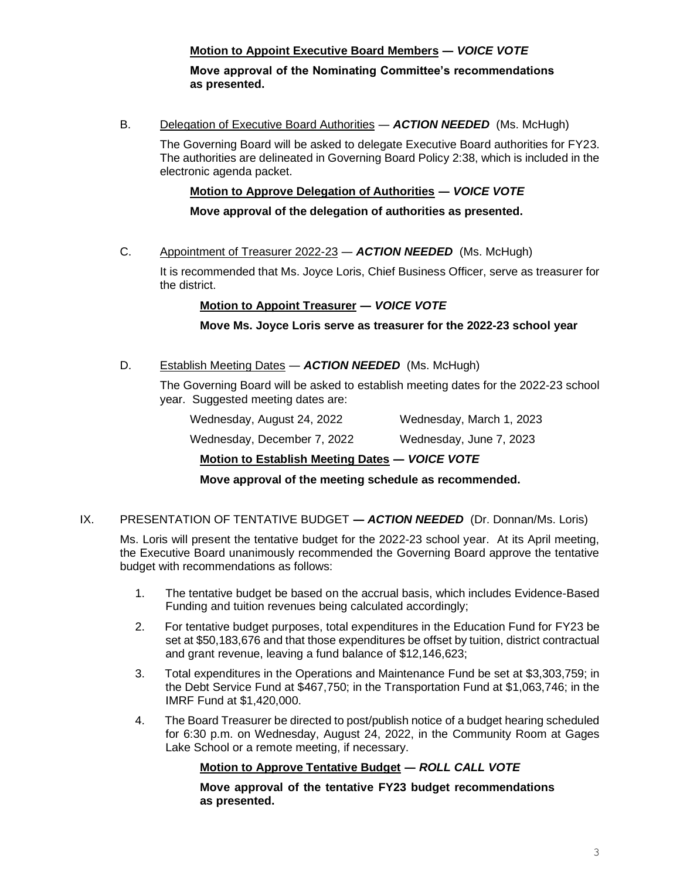# **Motion to Appoint Executive Board Members ―** *VOICE VOTE*

#### **Move approval of the Nominating Committee's recommendations as presented.**

B. Delegation of Executive Board Authorities ― *ACTION NEEDED* (Ms. McHugh)

The Governing Board will be asked to delegate Executive Board authorities for FY23. The authorities are delineated in Governing Board Policy 2:38, which is included in the electronic agenda packet.

### **Motion to Approve Delegation of Authorities ―** *VOICE VOTE*

**Move approval of the delegation of authorities as presented.**

C. Appointment of Treasurer 2022-23 ― *ACTION NEEDED* (Ms. McHugh)

It is recommended that Ms. Joyce Loris, Chief Business Officer, serve as treasurer for the district.

### **Motion to Appoint Treasurer ―** *VOICE VOTE*

**Move Ms. Joyce Loris serve as treasurer for the 2022-23 school year**

D. Establish Meeting Dates — **ACTION NEEDED** (Ms. McHugh)

The Governing Board will be asked to establish meeting dates for the 2022-23 school year. Suggested meeting dates are:

| Mattan ta Fatal Bal, Maattan Bataa | $\overline{11}$ $\overline{11}$ $\overline{11}$ $\overline{11}$ $\overline{11}$ |
|------------------------------------|---------------------------------------------------------------------------------|
| Wednesday, December 7, 2022        | Wednesday, June 7, 2023                                                         |
| Wednesday, August 24, 2022         | Wednesday, March 1, 2023                                                        |

# **Motion to Establish Meeting Dates ―** *VOICE VOTE*

**Move approval of the meeting schedule as recommended.**

IX. PRESENTATION OF TENTATIVE BUDGET **―** *ACTION NEEDED* (Dr. Donnan/Ms. Loris)

Ms. Loris will present the tentative budget for the 2022-23 school year. At its April meeting, the Executive Board unanimously recommended the Governing Board approve the tentative budget with recommendations as follows:

- 1. The tentative budget be based on the accrual basis, which includes Evidence-Based Funding and tuition revenues being calculated accordingly;
- 2. For tentative budget purposes, total expenditures in the Education Fund for FY23 be set at \$50,183,676 and that those expenditures be offset by tuition, district contractual and grant revenue, leaving a fund balance of \$12,146,623;
- 3. Total expenditures in the Operations and Maintenance Fund be set at \$3,303,759; in the Debt Service Fund at \$467,750; in the Transportation Fund at \$1,063,746; in the IMRF Fund at \$1,420,000.
- 4. The Board Treasurer be directed to post/publish notice of a budget hearing scheduled for 6:30 p.m. on Wednesday, August 24, 2022, in the Community Room at Gages Lake School or a remote meeting, if necessary.

# **Motion to Approve Tentative Budget ―** *ROLL CALL VOTE*

**Move approval of the tentative FY23 budget recommendations as presented.**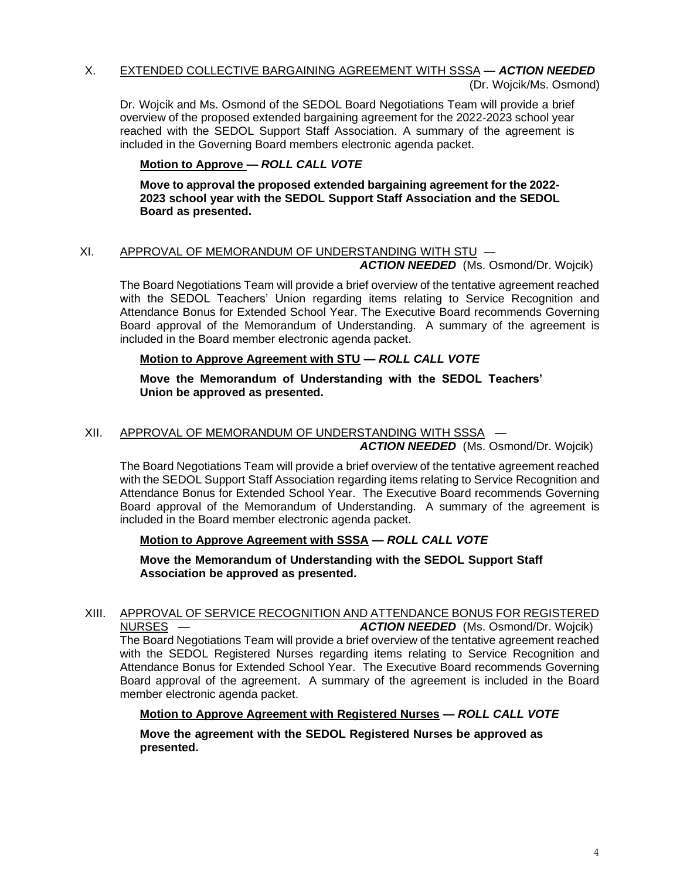# X. EXTENDED COLLECTIVE BARGAINING AGREEMENT WITH SSSA **—** *ACTION NEEDED* (Dr. Wojcik/Ms. Osmond)

Dr. Wojcik and Ms. Osmond of the SEDOL Board Negotiations Team will provide a brief overview of the proposed extended bargaining agreement for the 2022-2023 school year reached with the SEDOL Support Staff Association. A summary of the agreement is included in the Governing Board members electronic agenda packet.

# **Motion to Approve —** *ROLL CALL VOTE*

**Move to approval the proposed extended bargaining agreement for the 2022- 2023 school year with the SEDOL Support Staff Association and the SEDOL Board as presented.**

# XI. APPROVAL OF MEMORANDUM OF UNDERSTANDING WITH STU —

*ACTION NEEDED* (Ms. Osmond/Dr. Wojcik)

The Board Negotiations Team will provide a brief overview of the tentative agreement reached with the SEDOL Teachers' Union regarding items relating to Service Recognition and Attendance Bonus for Extended School Year. The Executive Board recommends Governing Board approval of the Memorandum of Understanding. A summary of the agreement is included in the Board member electronic agenda packet.

# **Motion to Approve Agreement with STU —** *ROLL CALL VOTE*

**Move the Memorandum of Understanding with the SEDOL Teachers' Union be approved as presented.**

# XII. APPROVAL OF MEMORANDUM OF UNDERSTANDING WITH SSSA —

*ACTION NEEDED* (Ms. Osmond/Dr. Wojcik)

The Board Negotiations Team will provide a brief overview of the tentative agreement reached with the SEDOL Support Staff Association regarding items relating to Service Recognition and Attendance Bonus for Extended School Year. The Executive Board recommends Governing Board approval of the Memorandum of Understanding. A summary of the agreement is included in the Board member electronic agenda packet.

# **Motion to Approve Agreement with SSSA —** *ROLL CALL VOTE*

**Move the Memorandum of Understanding with the SEDOL Support Staff Association be approved as presented.**

XIII. APPROVAL OF SERVICE RECOGNITION AND ATTENDANCE BONUS FOR REGISTERED NURSES — *ACTION NEEDED* (Ms. Osmond/Dr. Wojcik) The Board Negotiations Team will provide a brief overview of the tentative agreement reached with the SEDOL Registered Nurses regarding items relating to Service Recognition and Attendance Bonus for Extended School Year. The Executive Board recommends Governing Board approval of the agreement. A summary of the agreement is included in the Board member electronic agenda packet.

# **Motion to Approve Agreement with Registered Nurses —** *ROLL CALL VOTE*

**Move the agreement with the SEDOL Registered Nurses be approved as presented.**